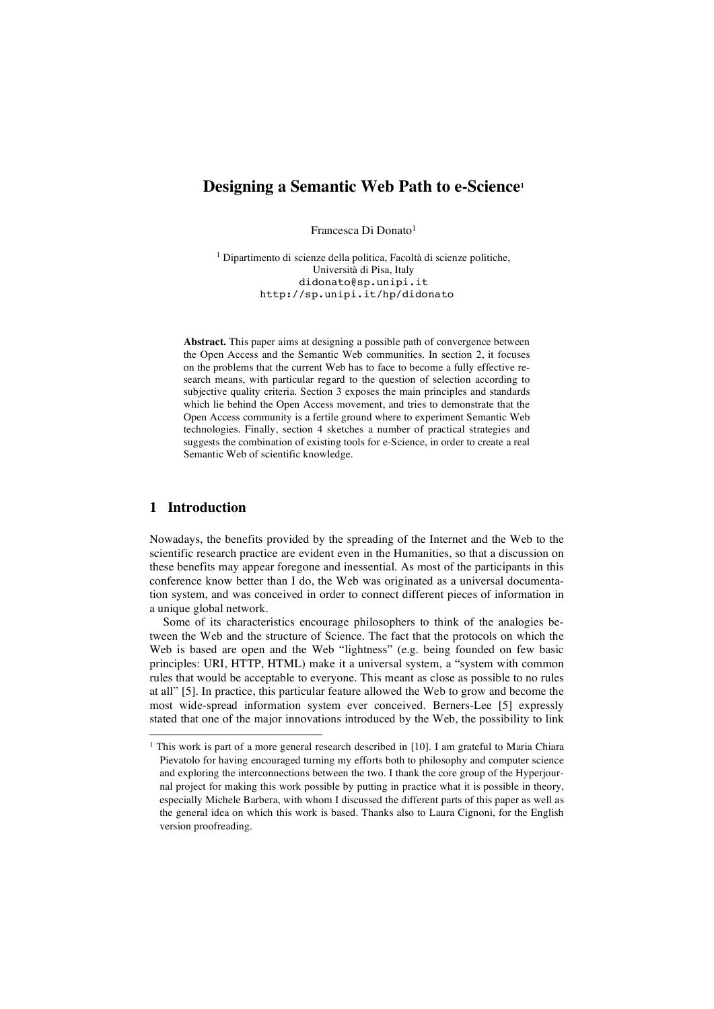# **Designing a Semantic Web Path to e-Science1**

Francesca Di Donato<sup>1</sup>

<sup>1</sup> Dipartimento di scienze della politica, Facoltà di scienze politiche, Università di Pisa, Italy didonato@sp.unipi.it http://sp.unipi.it/hp/didonato

**Abstract.** This paper aims at designing a possible path of convergence between the Open Access and the Semantic Web communities. In section 2, it focuses on the problems that the current Web has to face to become a fully effective research means, with particular regard to the question of selection according to subjective quality criteria. Section 3 exposes the main principles and standards which lie behind the Open Access movement, and tries to demonstrate that the Open Access community is a fertile ground where to experiment Semantic Web technologies. Finally, section 4 sketches a number of practical strategies and suggests the combination of existing tools for e-Science, in order to create a real Semantic Web of scientific knowledge.

### **1 Introduction**

Nowadays, the benefits provided by the spreading of the Internet and the Web to the scientific research practice are evident even in the Humanities, so that a discussion on these benefits may appear foregone and inessential. As most of the participants in this conference know better than I do, the Web was originated as a universal documentation system, and was conceived in order to connect different pieces of information in a unique global network.

Some of its characteristics encourage philosophers to think of the analogies between the Web and the structure of Science. The fact that the protocols on which the Web is based are open and the Web "lightness" (e.g. being founded on few basic principles: URI, HTTP, HTML) make it a universal system, a "system with common rules that would be acceptable to everyone. This meant as close as possible to no rules at all" [5]. In practice, this particular feature allowed the Web to grow and become the most wide-spread information system ever conceived. Berners-Lee [5] expressly stated that one of the major innovations introduced by the Web, the possibility to link

<sup>&</sup>lt;sup>1</sup> This work is part of a more general research described in [10]. I am grateful to Maria Chiara Pievatolo for having encouraged turning my efforts both to philosophy and computer science and exploring the interconnections between the two. I thank the core group of the Hyperjournal project for making this work possible by putting in practice what it is possible in theory, especially Michele Barbera, with whom I discussed the different parts of this paper as well as the general idea on which this work is based. Thanks also to Laura Cignoni, for the English version proofreading.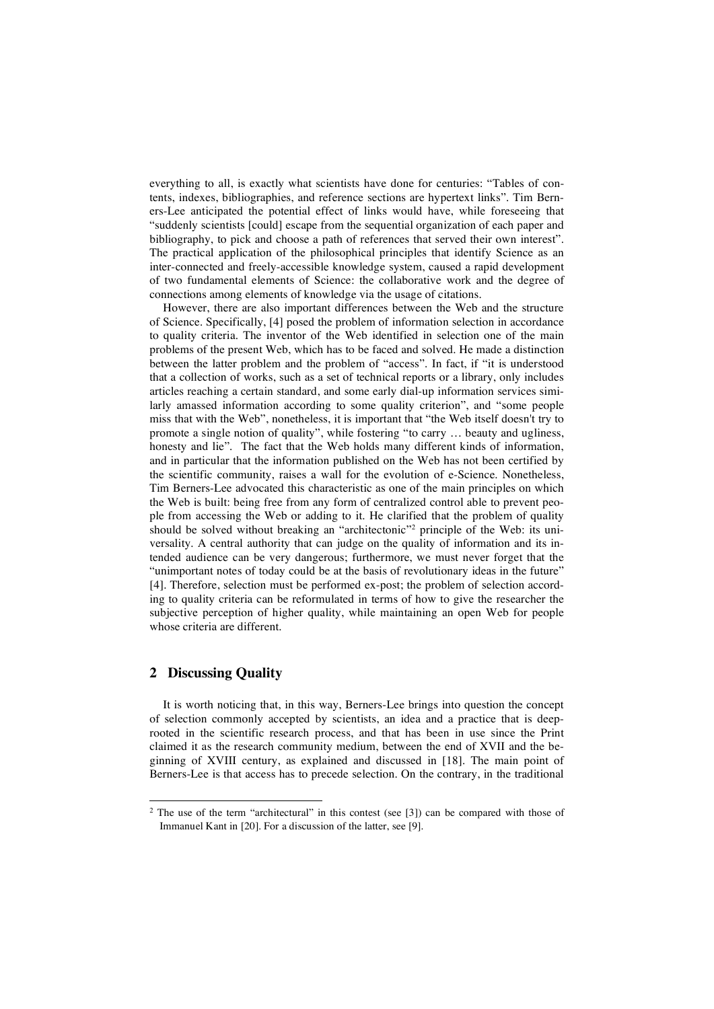everything to all, is exactly what scientists have done for centuries: "Tables of contents, indexes, bibliographies, and reference sections are hypertext links". Tim Berners-Lee anticipated the potential effect of links would have, while foreseeing that "suddenly scientists [could] escape from the sequential organization of each paper and bibliography, to pick and choose a path of references that served their own interest". The practical application of the philosophical principles that identify Science as an inter-connected and freely-accessible knowledge system, caused a rapid development of two fundamental elements of Science: the collaborative work and the degree of connections among elements of knowledge via the usage of citations.

However, there are also important differences between the Web and the structure of Science. Specifically, [4] posed the problem of information selection in accordance to quality criteria. The inventor of the Web identified in selection one of the main problems of the present Web, which has to be faced and solved. He made a distinction between the latter problem and the problem of "access". In fact, if "it is understood that a collection of works, such as a set of technical reports or a library, only includes articles reaching a certain standard, and some early dial-up information services similarly amassed information according to some quality criterion", and "some people miss that with the Web", nonetheless, it is important that "the Web itself doesn't try to promote a single notion of quality", while fostering "to carry … beauty and ugliness, honesty and lie". The fact that the Web holds many different kinds of information, and in particular that the information published on the Web has not been certified by the scientific community, raises a wall for the evolution of e-Science. Nonetheless, Tim Berners-Lee advocated this characteristic as one of the main principles on which the Web is built: being free from any form of centralized control able to prevent people from accessing the Web or adding to it. He clarified that the problem of quality should be solved without breaking an "architectonic"2 principle of the Web: its universality. A central authority that can judge on the quality of information and its intended audience can be very dangerous; furthermore, we must never forget that the "unimportant notes of today could be at the basis of revolutionary ideas in the future" [4]. Therefore, selection must be performed ex-post; the problem of selection according to quality criteria can be reformulated in terms of how to give the researcher the subjective perception of higher quality, while maintaining an open Web for people whose criteria are different.

## **2 Discussing Quality**

It is worth noticing that, in this way, Berners-Lee brings into question the concept of selection commonly accepted by scientists, an idea and a practice that is deeprooted in the scientific research process, and that has been in use since the Print claimed it as the research community medium, between the end of XVII and the beginning of XVIII century, as explained and discussed in [18]. The main point of Berners-Lee is that access has to precede selection. On the contrary, in the traditional

<sup>&</sup>lt;sup>2</sup> The use of the term "architectural" in this contest (see [3]) can be compared with those of Immanuel Kant in [20]. For a discussion of the latter, see [9].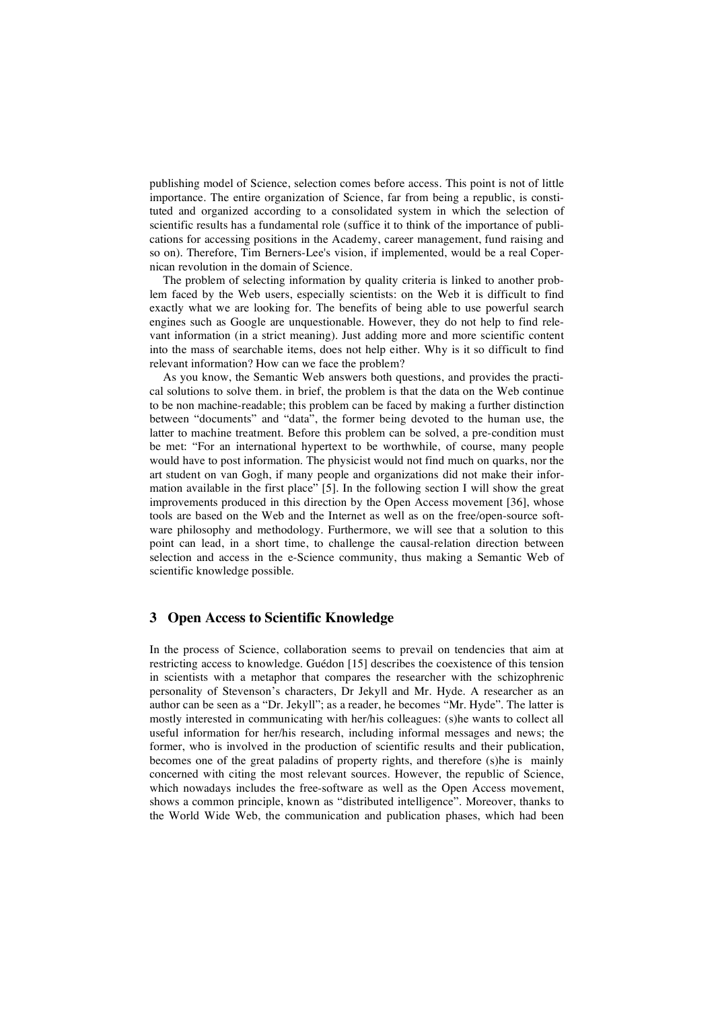publishing model of Science, selection comes before access. This point is not of little importance. The entire organization of Science, far from being a republic, is constituted and organized according to a consolidated system in which the selection of scientific results has a fundamental role (suffice it to think of the importance of publications for accessing positions in the Academy, career management, fund raising and so on). Therefore, Tim Berners-Lee's vision, if implemented, would be a real Copernican revolution in the domain of Science.

The problem of selecting information by quality criteria is linked to another problem faced by the Web users, especially scientists: on the Web it is difficult to find exactly what we are looking for. The benefits of being able to use powerful search engines such as Google are unquestionable. However, they do not help to find relevant information (in a strict meaning). Just adding more and more scientific content into the mass of searchable items, does not help either. Why is it so difficult to find relevant information? How can we face the problem?

As you know, the Semantic Web answers both questions, and provides the practical solutions to solve them. in brief, the problem is that the data on the Web continue to be non machine-readable; this problem can be faced by making a further distinction between "documents" and "data", the former being devoted to the human use, the latter to machine treatment. Before this problem can be solved, a pre-condition must be met: "For an international hypertext to be worthwhile, of course, many people would have to post information. The physicist would not find much on quarks, nor the art student on van Gogh, if many people and organizations did not make their information available in the first place" [5]. In the following section I will show the great improvements produced in this direction by the Open Access movement [36], whose tools are based on the Web and the Internet as well as on the free/open-source software philosophy and methodology. Furthermore, we will see that a solution to this point can lead, in a short time, to challenge the causal-relation direction between selection and access in the e-Science community, thus making a Semantic Web of scientific knowledge possible.

### **3 Open Access to Scientific Knowledge**

In the process of Science, collaboration seems to prevail on tendencies that aim at restricting access to knowledge. Guédon [15] describes the coexistence of this tension in scientists with a metaphor that compares the researcher with the schizophrenic personality of Stevenson's characters, Dr Jekyll and Mr. Hyde. A researcher as an author can be seen as a "Dr. Jekyll"; as a reader, he becomes "Mr. Hyde". The latter is mostly interested in communicating with her/his colleagues: (s)he wants to collect all useful information for her/his research, including informal messages and news; the former, who is involved in the production of scientific results and their publication, becomes one of the great paladins of property rights, and therefore (s)he is mainly concerned with citing the most relevant sources. However, the republic of Science, which nowadays includes the free-software as well as the Open Access movement, shows a common principle, known as "distributed intelligence". Moreover, thanks to the World Wide Web, the communication and publication phases, which had been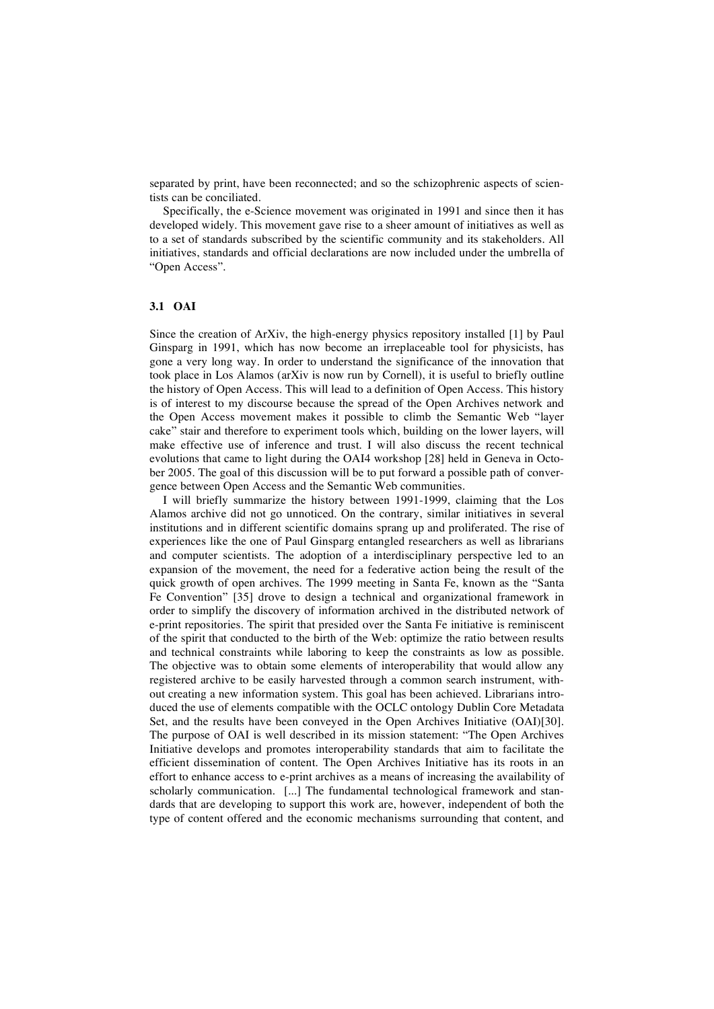separated by print, have been reconnected; and so the schizophrenic aspects of scientists can be conciliated.

Specifically, the e-Science movement was originated in 1991 and since then it has developed widely. This movement gave rise to a sheer amount of initiatives as well as to a set of standards subscribed by the scientific community and its stakeholders. All initiatives, standards and official declarations are now included under the umbrella of "Open Access".

### **3.1 OAI**

Since the creation of ArXiv, the high-energy physics repository installed [1] by Paul Ginsparg in 1991, which has now become an irreplaceable tool for physicists, has gone a very long way. In order to understand the significance of the innovation that took place in Los Alamos (arXiv is now run by Cornell), it is useful to briefly outline the history of Open Access. This will lead to a definition of Open Access. This history is of interest to my discourse because the spread of the Open Archives network and the Open Access movement makes it possible to climb the Semantic Web "layer cake" stair and therefore to experiment tools which, building on the lower layers, will make effective use of inference and trust. I will also discuss the recent technical evolutions that came to light during the OAI4 workshop [28] held in Geneva in October 2005. The goal of this discussion will be to put forward a possible path of convergence between Open Access and the Semantic Web communities.

I will briefly summarize the history between 1991-1999, claiming that the Los Alamos archive did not go unnoticed. On the contrary, similar initiatives in several institutions and in different scientific domains sprang up and proliferated. The rise of experiences like the one of Paul Ginsparg entangled researchers as well as librarians and computer scientists. The adoption of a interdisciplinary perspective led to an expansion of the movement, the need for a federative action being the result of the quick growth of open archives. The 1999 meeting in Santa Fe, known as the "Santa Fe Convention" [35] drove to design a technical and organizational framework in order to simplify the discovery of information archived in the distributed network of e-print repositories. The spirit that presided over the Santa Fe initiative is reminiscent of the spirit that conducted to the birth of the Web: optimize the ratio between results and technical constraints while laboring to keep the constraints as low as possible. The objective was to obtain some elements of interoperability that would allow any registered archive to be easily harvested through a common search instrument, without creating a new information system. This goal has been achieved. Librarians introduced the use of elements compatible with the OCLC ontology Dublin Core Metadata Set, and the results have been conveyed in the Open Archives Initiative (OAI)[30]. The purpose of OAI is well described in its mission statement: "The Open Archives Initiative develops and promotes interoperability standards that aim to facilitate the efficient dissemination of content. The Open Archives Initiative has its roots in an effort to enhance access to e-print archives as a means of increasing the availability of scholarly communication. [...] The fundamental technological framework and standards that are developing to support this work are, however, independent of both the type of content offered and the economic mechanisms surrounding that content, and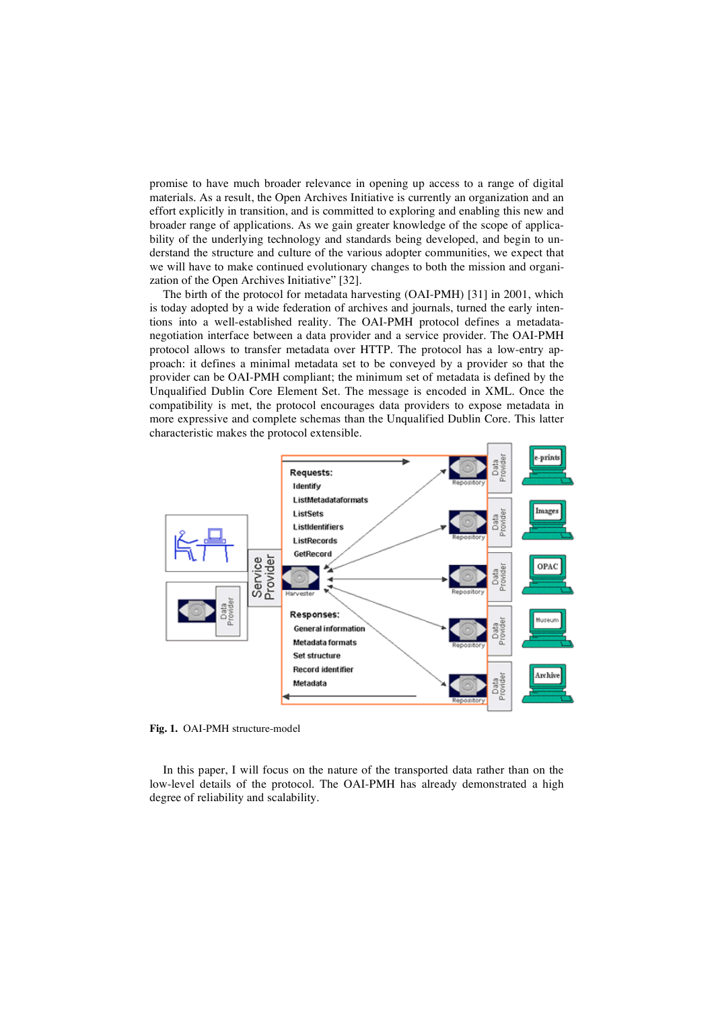promise to have much broader relevance in opening up access to a range of digital materials. As a result, the Open Archives Initiative is currently an organization and an effort explicitly in transition, and is committed to exploring and enabling this new and broader range of applications. As we gain greater knowledge of the scope of applicability of the underlying technology and standards being developed, and begin to understand the structure and culture of the various adopter communities, we expect that we will have to make continued evolutionary changes to both the mission and organization of the Open Archives Initiative" [32].

The birth of the protocol for metadata harvesting (OAI-PMH) [31] in 2001, which is today adopted by a wide federation of archives and journals, turned the early intentions into a well-established reality. The OAI-PMH protocol defines a metadatanegotiation interface between a data provider and a service provider. The OAI-PMH protocol allows to transfer metadata over HTTP. The protocol has a low-entry approach: it defines a minimal metadata set to be conveyed by a provider so that the provider can be OAI-PMH compliant; the minimum set of metadata is defined by the Unqualified Dublin Core Element Set. The message is encoded in XML. Once the compatibility is met, the protocol encourages data providers to expose metadata in more expressive and complete schemas than the Unqualified Dublin Core. This latter characteristic makes the protocol extensible.



**Fig. 1.** OAI-PMH structure-model

In this paper, I will focus on the nature of the transported data rather than on the low-level details of the protocol. The OAI-PMH has already demonstrated a high degree of reliability and scalability.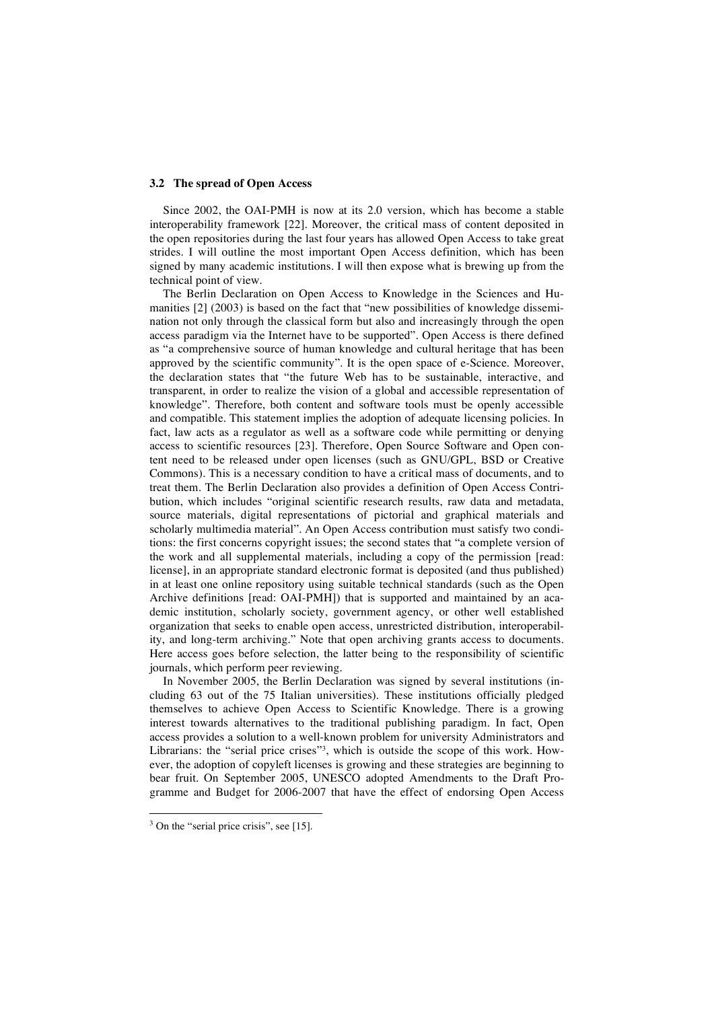#### **3.2 The spread of Open Access**

Since 2002, the OAI-PMH is now at its 2.0 version, which has become a stable interoperability framework [22]. Moreover, the critical mass of content deposited in the open repositories during the last four years has allowed Open Access to take great strides. I will outline the most important Open Access definition, which has been signed by many academic institutions. I will then expose what is brewing up from the technical point of view.

The Berlin Declaration on Open Access to Knowledge in the Sciences and Humanities [2] (2003) is based on the fact that "new possibilities of knowledge dissemination not only through the classical form but also and increasingly through the open access paradigm via the Internet have to be supported". Open Access is there defined as "a comprehensive source of human knowledge and cultural heritage that has been approved by the scientific community". It is the open space of e-Science. Moreover, the declaration states that "the future Web has to be sustainable, interactive, and transparent, in order to realize the vision of a global and accessible representation of knowledge". Therefore, both content and software tools must be openly accessible and compatible. This statement implies the adoption of adequate licensing policies. In fact, law acts as a regulator as well as a software code while permitting or denying access to scientific resources [23]. Therefore, Open Source Software and Open content need to be released under open licenses (such as GNU/GPL, BSD or Creative Commons). This is a necessary condition to have a critical mass of documents, and to treat them. The Berlin Declaration also provides a definition of Open Access Contribution, which includes "original scientific research results, raw data and metadata, source materials, digital representations of pictorial and graphical materials and scholarly multimedia material". An Open Access contribution must satisfy two conditions: the first concerns copyright issues; the second states that "a complete version of the work and all supplemental materials, including a copy of the permission [read: license], in an appropriate standard electronic format is deposited (and thus published) in at least one online repository using suitable technical standards (such as the Open Archive definitions [read: OAI-PMH]) that is supported and maintained by an academic institution, scholarly society, government agency, or other well established organization that seeks to enable open access, unrestricted distribution, interoperability, and long-term archiving." Note that open archiving grants access to documents. Here access goes before selection, the latter being to the responsibility of scientific journals, which perform peer reviewing.

In November 2005, the Berlin Declaration was signed by several institutions (including 63 out of the 75 Italian universities). These institutions officially pledged themselves to achieve Open Access to Scientific Knowledge. There is a growing interest towards alternatives to the traditional publishing paradigm. In fact, Open access provides a solution to a well-known problem for university Administrators and Librarians: the "serial price crises"3, which is outside the scope of this work. However, the adoption of copyleft licenses is growing and these strategies are beginning to bear fruit. On September 2005, UNESCO adopted Amendments to the Draft Programme and Budget for 2006-2007 that have the effect of endorsing Open Access

<sup>&</sup>lt;sup>3</sup> On the "serial price crisis", see [15].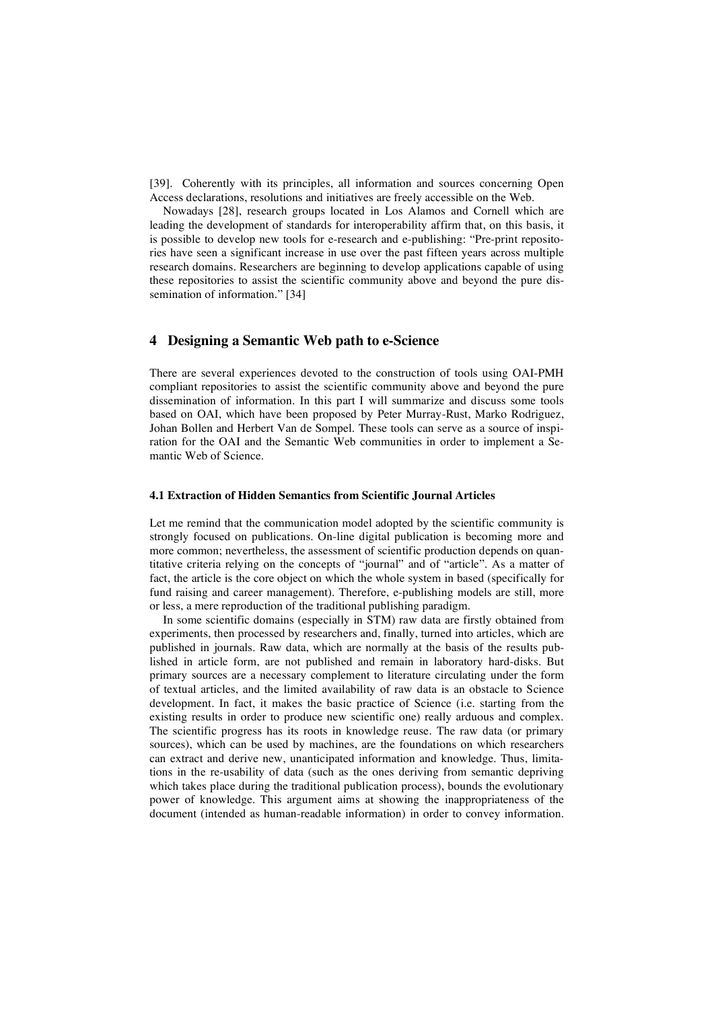[39]. Coherently with its principles, all information and sources concerning Open Access declarations, resolutions and initiatives are freely accessible on the Web.

Nowadays [28], research groups located in Los Alamos and Cornell which are leading the development of standards for interoperability affirm that, on this basis, it is possible to develop new tools for e-research and e-publishing: "Pre-print repositories have seen a significant increase in use over the past fifteen years across multiple research domains. Researchers are beginning to develop applications capable of using these repositories to assist the scientific community above and beyond the pure dissemination of information." [34]

### **4 Designing a Semantic Web path to e-Science**

There are several experiences devoted to the construction of tools using OAI-PMH compliant repositories to assist the scientific community above and beyond the pure dissemination of information. In this part I will summarize and discuss some tools based on OAI, which have been proposed by Peter Murray-Rust, Marko Rodriguez, Johan Bollen and Herbert Van de Sompel. These tools can serve as a source of inspiration for the OAI and the Semantic Web communities in order to implement a Semantic Web of Science.

#### **4.1 Extraction of Hidden Semantics from Scientific Journal Articles**

Let me remind that the communication model adopted by the scientific community is strongly focused on publications. On-line digital publication is becoming more and more common; nevertheless, the assessment of scientific production depends on quantitative criteria relying on the concepts of "journal" and of "article". As a matter of fact, the article is the core object on which the whole system in based (specifically for fund raising and career management). Therefore, e-publishing models are still, more or less, a mere reproduction of the traditional publishing paradigm.

In some scientific domains (especially in STM) raw data are firstly obtained from experiments, then processed by researchers and, finally, turned into articles, which are published in journals. Raw data, which are normally at the basis of the results published in article form, are not published and remain in laboratory hard-disks. But primary sources are a necessary complement to literature circulating under the form of textual articles, and the limited availability of raw data is an obstacle to Science development. In fact, it makes the basic practice of Science (i.e. starting from the existing results in order to produce new scientific one) really arduous and complex. The scientific progress has its roots in knowledge reuse. The raw data (or primary sources), which can be used by machines, are the foundations on which researchers can extract and derive new, unanticipated information and knowledge. Thus, limitations in the re-usability of data (such as the ones deriving from semantic depriving which takes place during the traditional publication process), bounds the evolutionary power of knowledge. This argument aims at showing the inappropriateness of the document (intended as human-readable information) in order to convey information.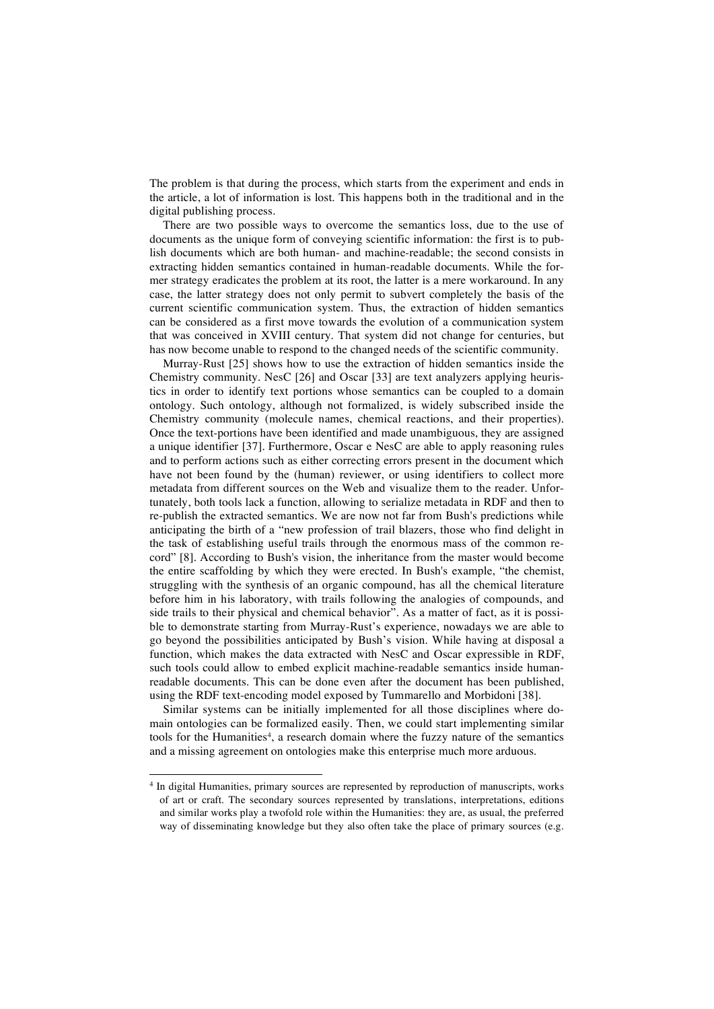The problem is that during the process, which starts from the experiment and ends in the article, a lot of information is lost. This happens both in the traditional and in the digital publishing process.

There are two possible ways to overcome the semantics loss, due to the use of documents as the unique form of conveying scientific information: the first is to publish documents which are both human- and machine-readable; the second consists in extracting hidden semantics contained in human-readable documents. While the former strategy eradicates the problem at its root, the latter is a mere workaround. In any case, the latter strategy does not only permit to subvert completely the basis of the current scientific communication system. Thus, the extraction of hidden semantics can be considered as a first move towards the evolution of a communication system that was conceived in XVIII century. That system did not change for centuries, but has now become unable to respond to the changed needs of the scientific community.

Murray-Rust [25] shows how to use the extraction of hidden semantics inside the Chemistry community. NesC [26] and Oscar [33] are text analyzers applying heuristics in order to identify text portions whose semantics can be coupled to a domain ontology. Such ontology, although not formalized, is widely subscribed inside the Chemistry community (molecule names, chemical reactions, and their properties). Once the text-portions have been identified and made unambiguous, they are assigned a unique identifier [37]. Furthermore, Oscar e NesC are able to apply reasoning rules and to perform actions such as either correcting errors present in the document which have not been found by the (human) reviewer, or using identifiers to collect more metadata from different sources on the Web and visualize them to the reader. Unfortunately, both tools lack a function, allowing to serialize metadata in RDF and then to re-publish the extracted semantics. We are now not far from Bush's predictions while anticipating the birth of a "new profession of trail blazers, those who find delight in the task of establishing useful trails through the enormous mass of the common record" [8]. According to Bush's vision, the inheritance from the master would become the entire scaffolding by which they were erected. In Bush's example, "the chemist, struggling with the synthesis of an organic compound, has all the chemical literature before him in his laboratory, with trails following the analogies of compounds, and side trails to their physical and chemical behavior". As a matter of fact, as it is possible to demonstrate starting from Murray-Rust's experience, nowadays we are able to go beyond the possibilities anticipated by Bush's vision. While having at disposal a function, which makes the data extracted with NesC and Oscar expressible in RDF, such tools could allow to embed explicit machine-readable semantics inside humanreadable documents. This can be done even after the document has been published, using the RDF text-encoding model exposed by Tummarello and Morbidoni [38].

Similar systems can be initially implemented for all those disciplines where domain ontologies can be formalized easily. Then, we could start implementing similar tools for the Humanities<sup>4</sup>, a research domain where the fuzzy nature of the semantics and a missing agreement on ontologies make this enterprise much more arduous.

<sup>&</sup>lt;sup>4</sup> In digital Humanities, primary sources are represented by reproduction of manuscripts, works of art or craft. The secondary sources represented by translations, interpretations, editions and similar works play a twofold role within the Humanities: they are, as usual, the preferred way of disseminating knowledge but they also often take the place of primary sources (e.g.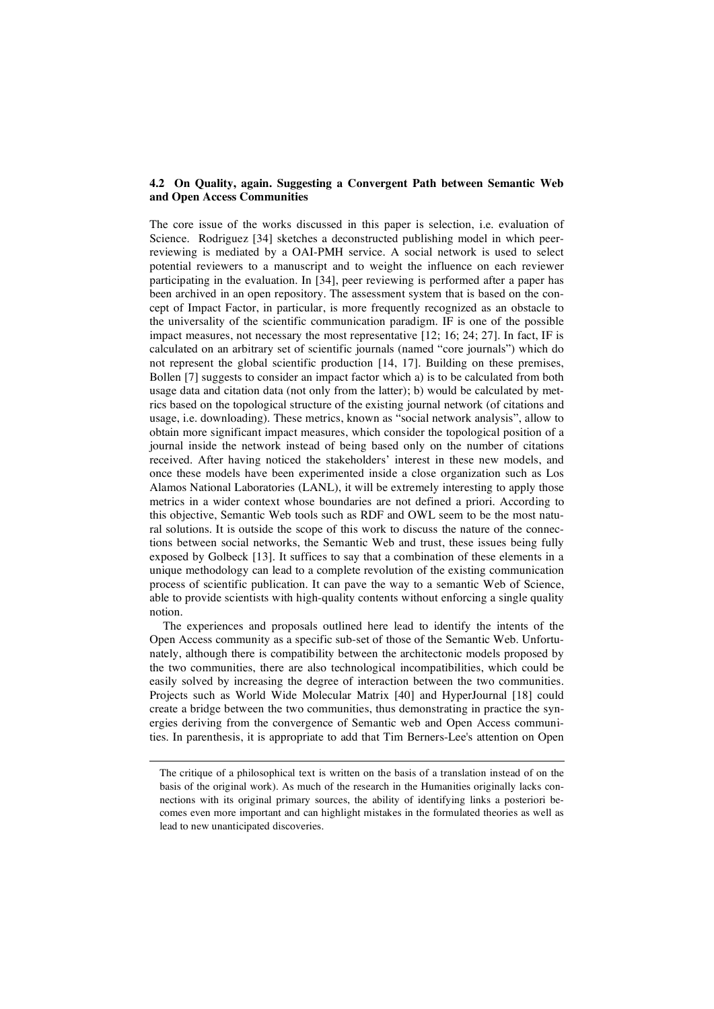#### **4.2 On Quality, again. Suggesting a Convergent Path between Semantic Web and Open Access Communities**

The core issue of the works discussed in this paper is selection, i.e. evaluation of Science. Rodriguez [34] sketches a deconstructed publishing model in which peerreviewing is mediated by a OAI-PMH service. A social network is used to select potential reviewers to a manuscript and to weight the influence on each reviewer participating in the evaluation. In [34], peer reviewing is performed after a paper has been archived in an open repository. The assessment system that is based on the concept of Impact Factor, in particular, is more frequently recognized as an obstacle to the universality of the scientific communication paradigm. IF is one of the possible impact measures, not necessary the most representative [12; 16; 24; 27]. In fact, IF is calculated on an arbitrary set of scientific journals (named "core journals") which do not represent the global scientific production [14, 17]. Building on these premises, Bollen [7] suggests to consider an impact factor which a) is to be calculated from both usage data and citation data (not only from the latter); b) would be calculated by metrics based on the topological structure of the existing journal network (of citations and usage, i.e. downloading). These metrics, known as "social network analysis", allow to obtain more significant impact measures, which consider the topological position of a journal inside the network instead of being based only on the number of citations received. After having noticed the stakeholders' interest in these new models, and once these models have been experimented inside a close organization such as Los Alamos National Laboratories (LANL), it will be extremely interesting to apply those metrics in a wider context whose boundaries are not defined a priori. According to this objective, Semantic Web tools such as RDF and OWL seem to be the most natural solutions. It is outside the scope of this work to discuss the nature of the connections between social networks, the Semantic Web and trust, these issues being fully exposed by Golbeck [13]. It suffices to say that a combination of these elements in a unique methodology can lead to a complete revolution of the existing communication process of scientific publication. It can pave the way to a semantic Web of Science, able to provide scientists with high-quality contents without enforcing a single quality notion.

The experiences and proposals outlined here lead to identify the intents of the Open Access community as a specific sub-set of those of the Semantic Web. Unfortunately, although there is compatibility between the architectonic models proposed by the two communities, there are also technological incompatibilities, which could be easily solved by increasing the degree of interaction between the two communities. Projects such as World Wide Molecular Matrix [40] and HyperJournal [18] could create a bridge between the two communities, thus demonstrating in practice the synergies deriving from the convergence of Semantic web and Open Access communities. In parenthesis, it is appropriate to add that Tim Berners-Lee's attention on Open

-

The critique of a philosophical text is written on the basis of a translation instead of on the basis of the original work). As much of the research in the Humanities originally lacks connections with its original primary sources, the ability of identifying links a posteriori becomes even more important and can highlight mistakes in the formulated theories as well as lead to new unanticipated discoveries.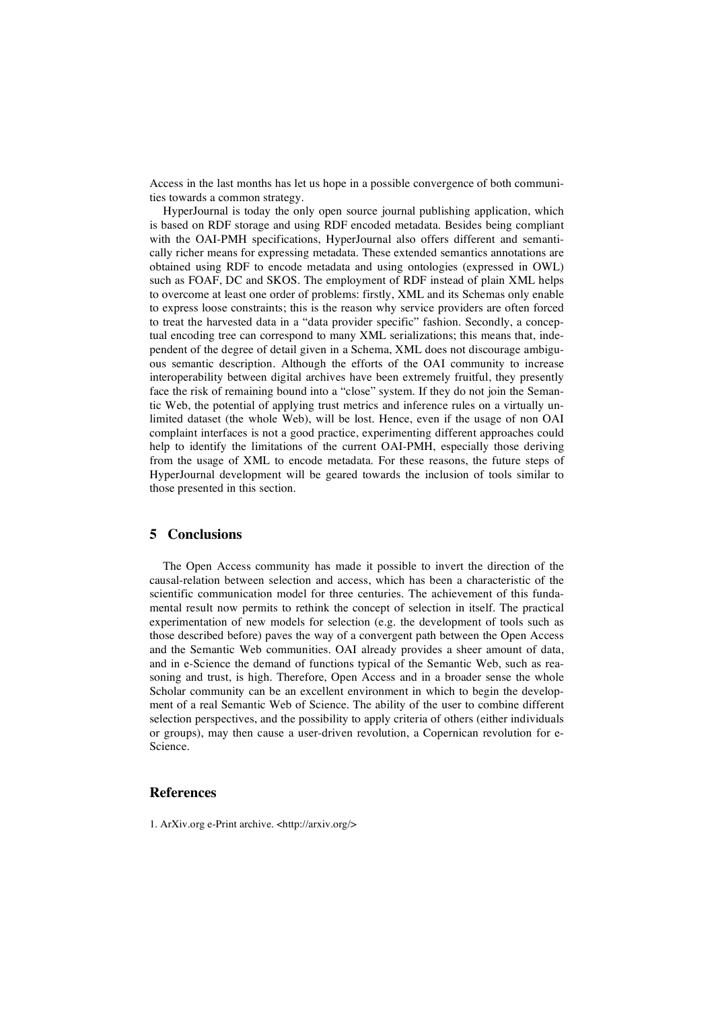Access in the last months has let us hope in a possible convergence of both communities towards a common strategy.

HyperJournal is today the only open source journal publishing application, which is based on RDF storage and using RDF encoded metadata. Besides being compliant with the OAI-PMH specifications, HyperJournal also offers different and semantically richer means for expressing metadata. These extended semantics annotations are obtained using RDF to encode metadata and using ontologies (expressed in OWL) such as FOAF, DC and SKOS. The employment of RDF instead of plain XML helps to overcome at least one order of problems: firstly, XML and its Schemas only enable to express loose constraints; this is the reason why service providers are often forced to treat the harvested data in a "data provider specific" fashion. Secondly, a conceptual encoding tree can correspond to many XML serializations; this means that, independent of the degree of detail given in a Schema, XML does not discourage ambiguous semantic description. Although the efforts of the OAI community to increase interoperability between digital archives have been extremely fruitful, they presently face the risk of remaining bound into a "close" system. If they do not join the Semantic Web, the potential of applying trust metrics and inference rules on a virtually unlimited dataset (the whole Web), will be lost. Hence, even if the usage of non OAI complaint interfaces is not a good practice, experimenting different approaches could help to identify the limitations of the current OAI-PMH, especially those deriving from the usage of XML to encode metadata. For these reasons, the future steps of HyperJournal development will be geared towards the inclusion of tools similar to those presented in this section.

#### **5 Conclusions**

The Open Access community has made it possible to invert the direction of the causal-relation between selection and access, which has been a characteristic of the scientific communication model for three centuries. The achievement of this fundamental result now permits to rethink the concept of selection in itself. The practical experimentation of new models for selection (e.g. the development of tools such as those described before) paves the way of a convergent path between the Open Access and the Semantic Web communities. OAI already provides a sheer amount of data, and in e-Science the demand of functions typical of the Semantic Web, such as reasoning and trust, is high. Therefore, Open Access and in a broader sense the whole Scholar community can be an excellent environment in which to begin the development of a real Semantic Web of Science. The ability of the user to combine different selection perspectives, and the possibility to apply criteria of others (either individuals or groups), may then cause a user-driven revolution, a Copernican revolution for e-Science.

#### **References**

1. ArXiv.org e-Print archive. <http://arxiv.org/>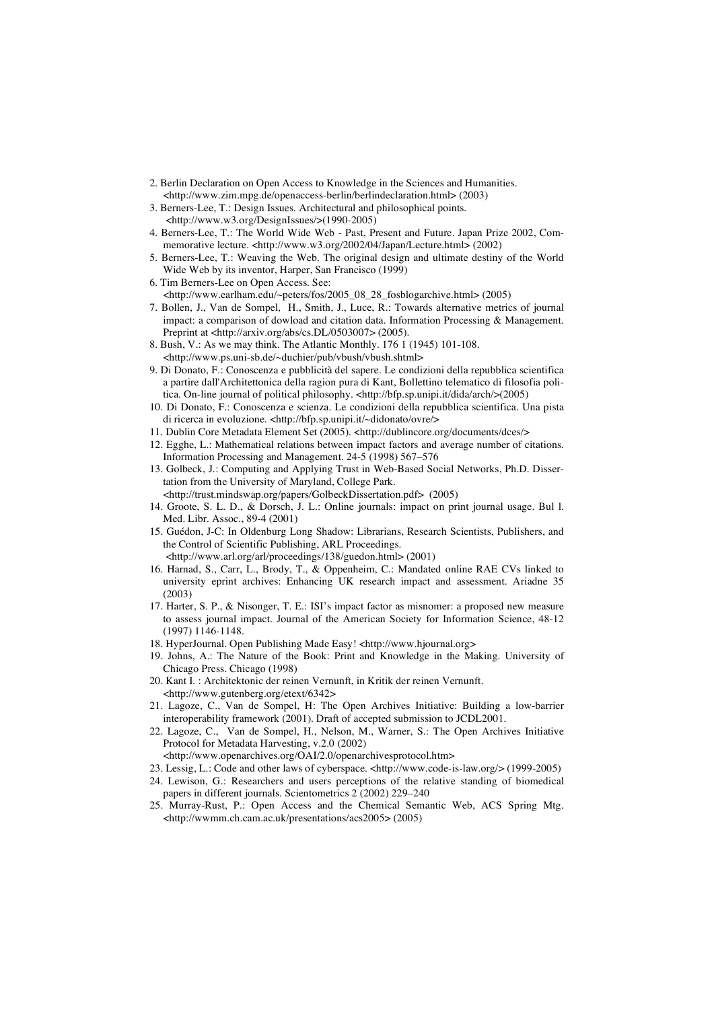- 2. Berlin Declaration on Open Access to Knowledge in the Sciences and Humanities. <http://www.zim.mpg.de/openaccess-berlin/berlindeclaration.html> (2003)
- 3. Berners-Lee, T.: Design Issues. Architectural and philosophical points. <http://www.w3.org/DesignIssues/>(1990-2005)
- 4. Berners-Lee, T.: The World Wide Web Past, Present and Future. Japan Prize 2002, Commemorative lecture. <http://www.w3.org/2002/04/Japan/Lecture.html> (2002)
- 5. Berners-Lee, T.: Weaving the Web. The original design and ultimate destiny of the World Wide Web by its inventor, Harper, San Francisco (1999)
- 6. Tim Berners-Lee on Open Access. See: <http://www.earlham.edu/~peters/fos/2005\_08\_28\_fosblogarchive.html> (2005)
- 7. Bollen, J., Van de Sompel, H., Smith, J., Luce, R.: Towards alternative metrics of journal impact: a comparison of dowload and citation data. Information Processing & Management. Preprint at <http://arxiv.org/abs/cs.DL/0503007>(2005).
- 8. Bush, V.: As we may think. The Atlantic Monthly. 176 1 (1945) 101-108. <http://www.ps.uni-sb.de/~duchier/pub/vbush/vbush.shtml>
- 9. Di Donato, F.: Conoscenza e pubblicità del sapere. Le condizioni della repubblica scientifica a partire dall'Architettonica della ragion pura di Kant, Bollettino telematico di filosofia politica. On-line journal of political philosophy. <http://bfp.sp.unipi.it/dida/arch/>(2005)
- 10. Di Donato, F.: Conoscenza e scienza. Le condizioni della repubblica scientifica. Una pista di ricerca in evoluzione. <http://bfp.sp.unipi.it/~didonato/ovre/>
- 11. Dublin Core Metadata Element Set (2005). <http://dublincore.org/documents/dces/>
- 12. Egghe, L.: Mathematical relations between impact factors and average number of citations. Information Processing and Management. 24-5 (1998) 567–576
- 13. Golbeck, J.: Computing and Applying Trust in Web-Based Social Networks, Ph.D. Dissertation from the University of Maryland, College Park.
	- <http://trust.mindswap.org/papers/GolbeckDissertation.pdf> (2005)
- 14. Groote, S. L. D., & Dorsch, J. L.: Online journals: impact on print journal usage. Bul l. Med. Libr. Assoc., 89-4 (2001)
- 15. Guédon, J-C: In Oldenburg Long Shadow: Librarians, Research Scientists, Publishers, and the Control of Scientific Publishing, ARL Proceedings. <http://www.arl.org/arl/proceedings/138/guedon.html> (2001)
- 16. Harnad, S., Carr, L., Brody, T., & Oppenheim, C.: Mandated online RAE CVs linked to university eprint archives: Enhancing UK research impact and assessment. Ariadne 35 (2003)
- 17. Harter, S. P., & Nisonger, T. E.: ISI's impact factor as misnomer: a proposed new measure to assess journal impact. Journal of the American Society for Information Science, 48-12 (1997) 1146-1148.
- 18. HyperJournal. Open Publishing Made Easy! <http://www.hjournal.org>
- 19. Johns, A.: The Nature of the Book: Print and Knowledge in the Making. University of Chicago Press. Chicago (1998)
- 20. Kant I. : Architektonic der reinen Vernunft, in Kritik der reinen Vernunft. <http://www.gutenberg.org/etext/6342>
- 21. Lagoze, C., Van de Sompel, H: The Open Archives Initiative: Building a low-barrier interoperability framework (2001). Draft of accepted submission to JCDL2001.
- 22. Lagoze, C., Van de Sompel, H., Nelson, M., Warner, S.: The Open Archives Initiative Protocol for Metadata Harvesting, v.2.0 (2002)
- <http://www.openarchives.org/OAI/2.0/openarchivesprotocol.htm>
- 23. Lessig, L.: Code and other laws of cyberspace. <http://www.code-is-law.org/> (1999-2005)
- 24. Lewison, G.: Researchers and users perceptions of the relative standing of biomedical papers in different journals. Scientometrics 2 (2002) 229–240
- 25. Murray-Rust, P.: Open Access and the Chemical Semantic Web, ACS Spring Mtg. <http://wwmm.ch.cam.ac.uk/presentations/acs2005> (2005)